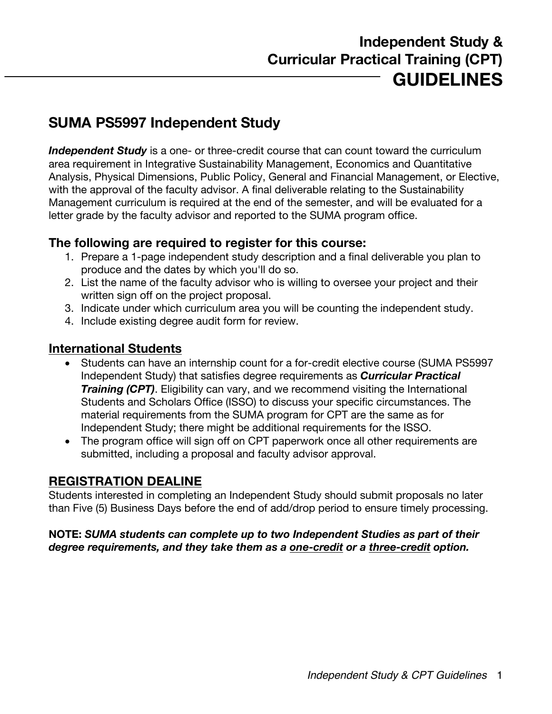# **SUMA PS5997 Independent Study**

**Independent Study** is a one- or three-credit course that can count toward the curriculum area requirement in Integrative Sustainability Management, Economics and Quantitative Analysis, Physical Dimensions, Public Policy, General and Financial Management, or Elective, with the approval of the faculty advisor. A final deliverable relating to the Sustainability Management curriculum is required at the end of the semester, and will be evaluated for a letter grade by the faculty advisor and reported to the SUMA program office.

### **The following are required to register for this course:**

- 1. Prepare a 1-page independent study description and a final deliverable you plan to produce and the dates by which you'll do so.
- 2. List the name of the faculty advisor who is willing to oversee your project and their written sign off on the project proposal.
- 3. Indicate under which curriculum area you will be counting the independent study.
- 4. Include existing degree audit form for review.

### **International Students**

- Students can have an internship count for a for-credit elective course (SUMA PS5997 Independent Study) that satisfies degree requirements as *Curricular Practical Training (CPT)*. Eligibility can vary, and we recommend visiting the International Students and Scholars Office (ISSO) to discuss your specific circumstances. The material requirements from the SUMA program for CPT are the same as for Independent Study; there might be additional requirements for the ISSO.
- The program office will sign off on CPT paperwork once all other requirements are submitted, including a proposal and faculty advisor approval.

### **REGISTRATION DEALINE**

Students interested in completing an Independent Study should submit proposals no later than Five (5) Business Days before the end of add/drop period to ensure timely processing.

#### **NOTE:** *SUMA students can complete up to two Independent Studies as part of their degree requirements, and they take them as a one-credit or a three-credit option.*